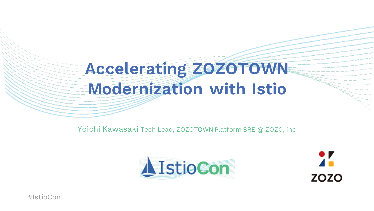### **Accelerating ZOZOTOWN Modernization with Istio**

Yoichi Kawasaki Tech Lead, ZOZOTOWN Platform SRE @ ZOZO, inc





#IstioCon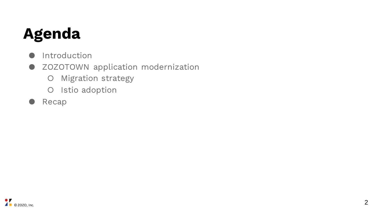### **Agenda**

- Introduction
- ZOZOTOWN application modernization
	- Migration strategy
	- O Istio adoption
- Recap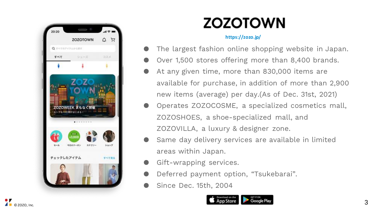

### **ZOZOTOWN**

#### **https://zozo.jp/**

- The largest fashion online shopping website in Japan.
- Over 1,500 stores offering more than 8,400 brands.
- At any given time, more than 830,000 items are available for purchase, in addition of more than 2,900 new items (average) per day.(As of Dec. 31st, 2021)
- Operates ZOZOCOSME, a specialized cosmetics mall, ZOZOSHOES, a shoe-specialized mall, and ZOZOVILLA, a luxury & designer zone.
- Same day delivery services are available in limited areas within Japan.
- Gift-wrapping services.
- Deferred payment option, "Tsukebarai".
- Since Dec. 15th, 2004

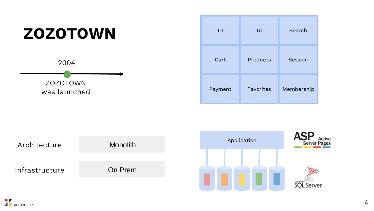

![](_page_3_Figure_1.jpeg)

![](_page_3_Figure_2.jpeg)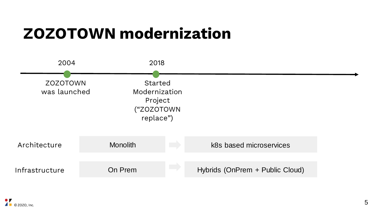### **ZOZOTOWN modernization**

![](_page_4_Figure_1.jpeg)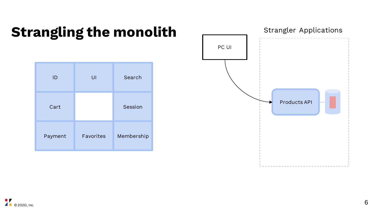### **Strangling the monolith**

| ID      | UI        | Search     |
|---------|-----------|------------|
| Cart    |           | Session    |
| Payment | Favorites | Membership |

![](_page_5_Figure_2.jpeg)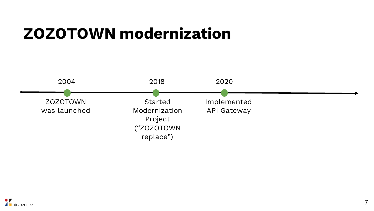### **ZOZOTOWN modernization**

![](_page_6_Figure_1.jpeg)

![](_page_6_Picture_2.jpeg)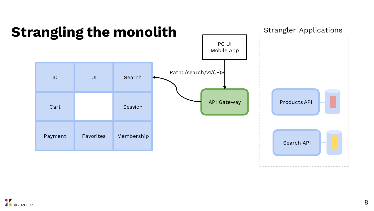![](_page_7_Figure_0.jpeg)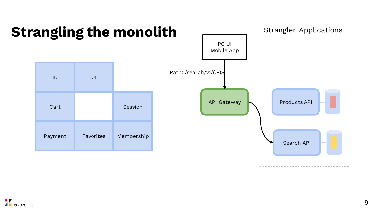![](_page_8_Figure_0.jpeg)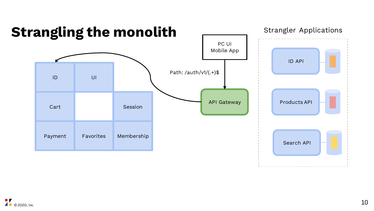![](_page_9_Figure_0.jpeg)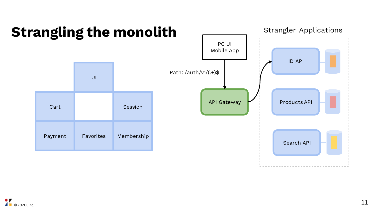![](_page_10_Figure_0.jpeg)

#### . r © ZOZO, Inc.  $\blacksquare$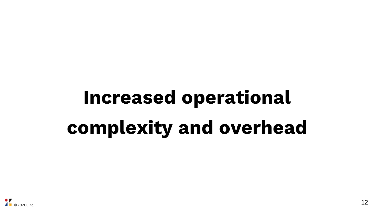# **Increased operational complexity and overhead**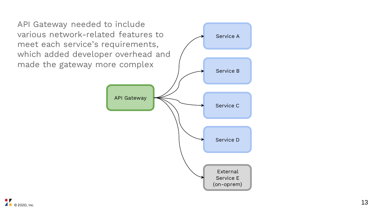![](_page_12_Figure_0.jpeg)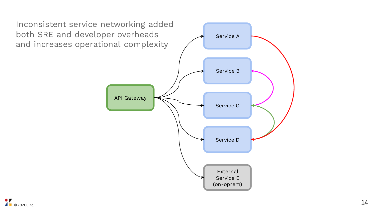![](_page_13_Figure_0.jpeg)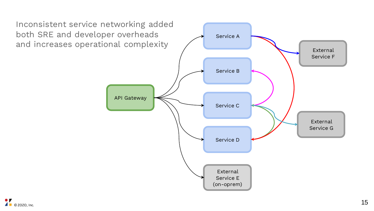![](_page_14_Figure_0.jpeg)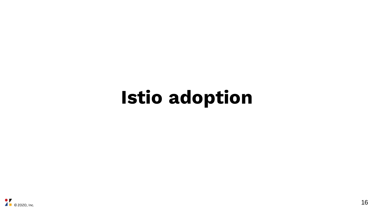## **Istio adoption**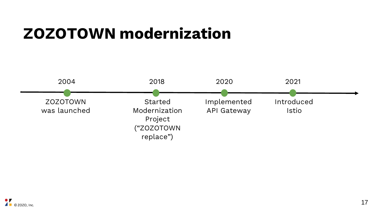### **ZOZOTOWN modernization**

![](_page_16_Figure_1.jpeg)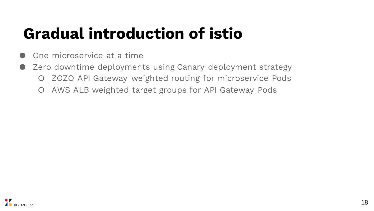### **Gradual introduction of istio**

- One microservice at a time
- Zero downtime deployments using Canary deployment strategy ○ ZOZO API Gateway weighted routing for microservice Pods
	- AWS ALB weighted target groups for API Gateway Pods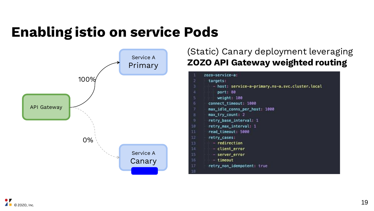### **Enabling istio on service Pods**

![](_page_18_Figure_1.jpeg)

#### (Static) Canary deployment leveraging **ZOZO API Gateway weighted routing**

| 1  | zozo-service-a:                                  |
|----|--------------------------------------------------|
| 2  | targets:                                         |
| 3  | - host: service-a-primary.ns-a.svc.cluster.local |
| 4  | port: 80                                         |
| 5  | weight: 100                                      |
| 6  | connect_timeout: 1000                            |
| 7  | max_idle_conns_per_host: 1000                    |
| 8  | max_try_count: 2                                 |
| 9  | retry base interval: 1                           |
| 10 | retry_max_interval: 1                            |
| 11 | read timeout: 5000                               |
| 12 | retry_cases:                                     |
| 13 | $-$ redirection                                  |
| 14 | - client error                                   |
| 15 | - server_error                                   |
| 16 | $-$ timeout                                      |
| 17 | retry_non_idempotent: true                       |
| 18 |                                                  |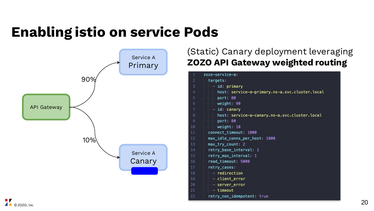### **Enabling istio on service Pods**

![](_page_19_Figure_1.jpeg)

#### (Static) Canary deployment leveraging **ZOZO API Gateway weighted routing**

| host: service-a-primary.ns-a.svc.cluster.local<br>port: 80<br>weight: 90<br>6.<br>API Gateway<br>$-$ id: canary<br>$\mathbf{g}$<br>port: 80<br>10<br>weight: 10<br>connect_timeout: 1000<br>11<br>12<br>10%<br>13<br>max_try_count: 2<br>retry_base_interval: 1<br>14<br>Service A<br>retry_max_interval: 1<br>15.<br>Canary<br>16<br>read_timeout: 5000<br>17<br>retry_cases:<br>18<br>- redirection | host: service-a-canary.ns-a.svc.cluster.local<br>max_idle_conns_per_host: 1000 |
|-------------------------------------------------------------------------------------------------------------------------------------------------------------------------------------------------------------------------------------------------------------------------------------------------------------------------------------------------------------------------------------------------------|--------------------------------------------------------------------------------|
| 19.<br>- client_error<br>20<br>- server_error<br>21<br>$-$ timeout<br>22<br>© ZOZO, Inc.                                                                                                                                                                                                                                                                                                              | retry_non_idempotent: true<br>20                                               |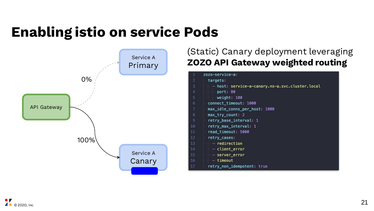### **Enabling istio on service Pods**

![](_page_20_Figure_1.jpeg)

#### (Static) Canary deployment leveraging **ZOZO API Gateway weighted routing**

| 1  | zozo-service-a:                                 |
|----|-------------------------------------------------|
| 2  | targets:                                        |
| 3  | - host: service-a-canary.ns-a.svc.cluster.local |
| 4  | port: 80                                        |
| 5  | weight: 100                                     |
| б  | connect_timeout: 1000                           |
| 7  | max_idle_conns_per_host: 1000                   |
| 8  | max_try_count: 2                                |
| -9 | retry base interval: 1                          |
| 10 | retry_max_interval: 1                           |
| 11 | read_timeout: 5000                              |
| 12 | retry_cases:                                    |
| 13 | $-$ redirection                                 |
| 14 | - client error                                  |
| 15 | - server_error                                  |
| 16 | $-$ timeout                                     |
| 17 | retry_non_idempotent: true                      |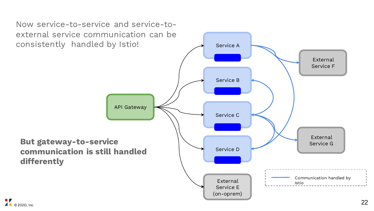Now service-to-service and service-toexternal service communication can be consistently handled by Istio!

![](_page_21_Figure_1.jpeg)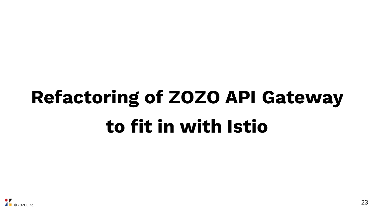# **Refactoring of ZOZO API Gateway to fit in with Istio**

![](_page_22_Picture_1.jpeg)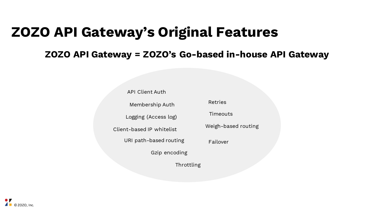### **ZOZO API Gateway's Original Features**

#### **ZOZO API Gateway = ZOZO's Go-based in-house API Gateway**

API Client Auth URI path-based routing Logging (Access log) Client-based IP whitelist Membership Auth Throttling Retries Timeouts Weigh-based routing Gzip encoding Failover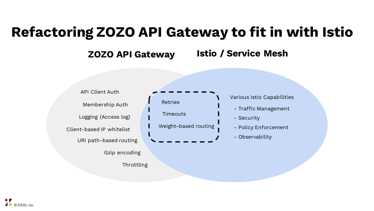### **Refactoring ZOZO API Gateway to fit in with Istio**

#### **ZOZO API Gateway Istio / Service Mesh**

![](_page_24_Figure_2.jpeg)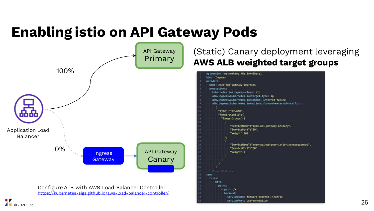### **Enabling istio on API Gateway Pods**

![](_page_25_Figure_1.jpeg)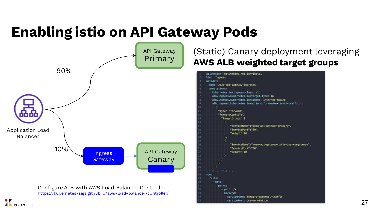### **Enabling istio on API Gateway Pods**

![](_page_26_Figure_1.jpeg)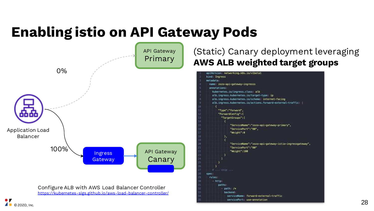### **Enabling istio on API Gateway Pods**

![](_page_27_Figure_1.jpeg)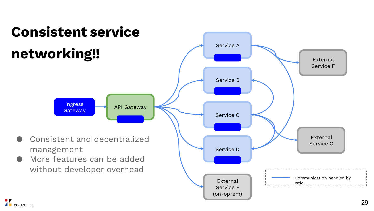![](_page_28_Figure_0.jpeg)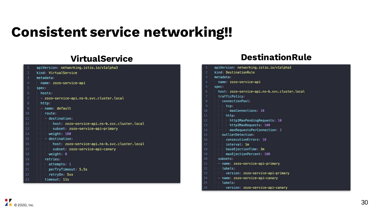### **Consistent service networking!!**

| 1              | apiVersion: networking.istio.io/v1alpha3      |
|----------------|-----------------------------------------------|
| $\overline{c}$ | kind: VirtualService                          |
| 3              | metadata:                                     |
| 4              | name: zozo-service-api                        |
| 5              | spec:                                         |
| 6              | hosts:                                        |
| $\overline{7}$ | - zozo-service-api.ns-b.svc.cluster.local     |
| 8              | http:                                         |
| $\overline{9}$ | - name: default                               |
| 10             | route:                                        |
| 11             | - destination:                                |
| 12             | host: zozo-service-api.ns-b.svc.cluster.local |
| 13             | subset: zozo-service-api-primary              |
| 14             | weight: 100                                   |
| 15             | $-$ destination:                              |
| 16             | host: zozo-service-api.ns-b.svc.cluster.local |
| 17             | subset: zozo-service-api-canary               |
| 18             | weight: 0                                     |
| 19             | retries:                                      |
| 20             | attempts: 1                                   |
| 21             | perTryTimeout: 5.5s                           |
| 22             | retryOn: 5xx                                  |
| 23             | timeout: 11s                                  |

#### **VirtualService DestinationRule**

| apiVersion: networking.istio.io/vlalpha3      |
|-----------------------------------------------|
| kind: DestinationRule                         |
| metadata:                                     |
| name: zozo-service-api                        |
| spec:                                         |
| host: zozo-service-api.ns-b.svc.cluster.local |
| trafficPolicy:                                |
| connectionPool:                               |
| tcp.                                          |
| maxConnections: 10                            |
| http:                                         |
| http1MaxPendingRequests 10                    |
| http2MaxRequests: 100                         |
| maxRequestsPerConnection: 2                   |
| outlierDetection:                             |
| consecutiveErrors: 10                         |
| interval: In                                  |
| baseEjectionTime: 3m                          |
| maxEjectionPercent: 100                       |
| subsets:                                      |
| - name: zozo-service-api-primary              |
| labels:                                       |
| version: zozo-service-api-primary             |
| - name: zozo-service-api-canary               |
| tabels:                                       |
| version: zozo-service-api-canary              |
|                                               |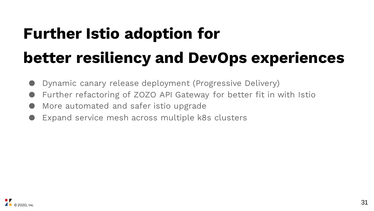## **Further Istio adoption for better resiliency and DevOps experiences**

- Dynamic canary release deployment (Progressive Delivery)
- Further refactoring of ZOZO API Gateway for better fit in with Istio
- More automated and safer istio upgrade
- Expand service mesh across multiple k8s clusters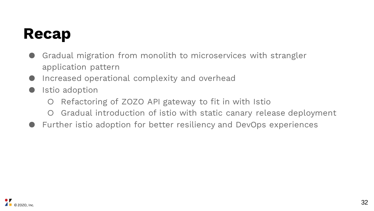### **Recap**

- Gradual migration from monolith to microservices with strangler application pattern
- Increased operational complexity and overhead
- Istio adoption
	- Refactoring of ZOZO API gateway to fit in with Istio
	- Gradual introduction of istio with static canary release deployment
- Further istio adoption for better resiliency and DevOps experiences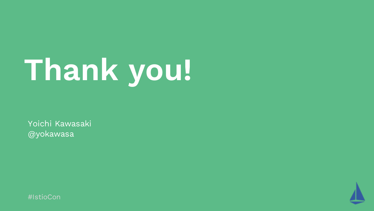# **Thank you!**

Yoichi Kawasaki @yokawasa

![](_page_32_Picture_2.jpeg)

![](_page_32_Picture_3.jpeg)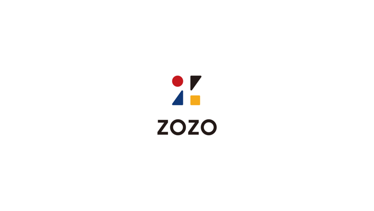# $\frac{1}{2}$ **ZOZO**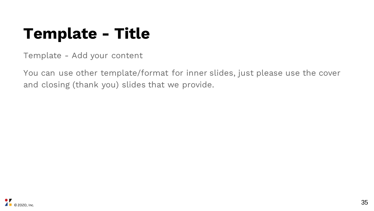### **Template - Title**

Template - Add your content

You can use other template/format for inner slides, just please use the cover and closing (thank you) slides that we provide.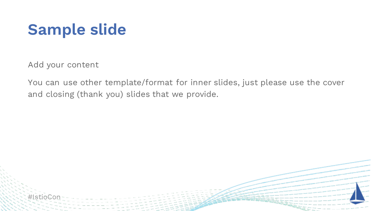### **Sample slide**

Add your content

You can use other template/format for inner slides, just please use the cover and closing (thank you) slides that we provide.

![](_page_35_Picture_3.jpeg)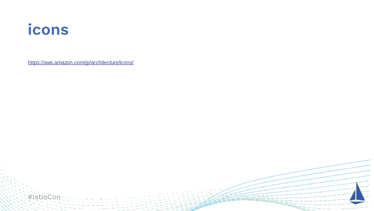### **icons**

https://aws.amazon.com/jp/architecture/icons/

![](_page_36_Picture_2.jpeg)